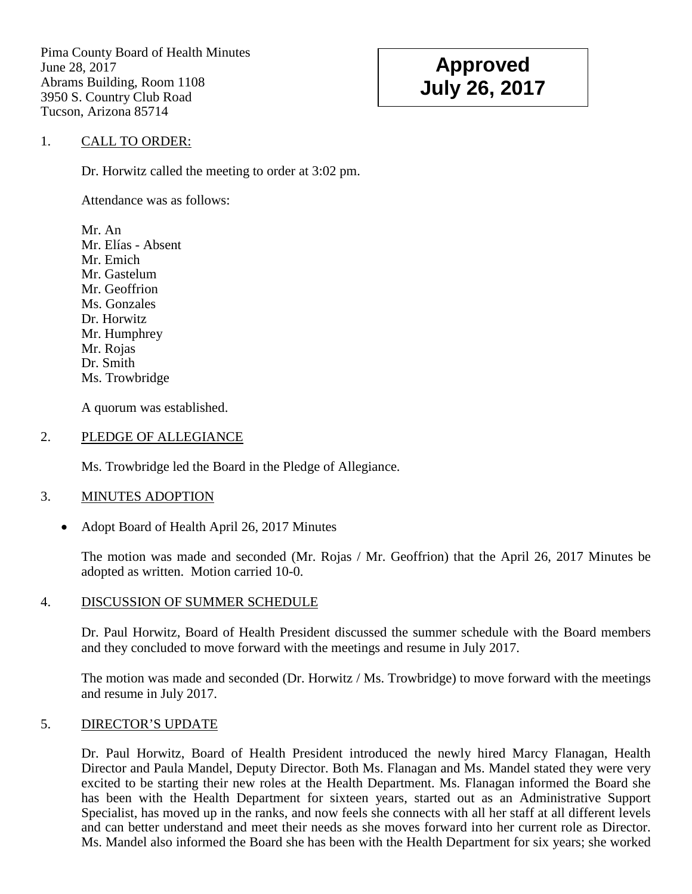Pima County Board of Health Minutes June 28, 2017 Abrams Building, Room 1108 3950 S. Country Club Road Tucson, Arizona 85714

# **Approved July 26, 2017**

## 1. CALL TO ORDER:

Dr. Horwitz called the meeting to order at 3:02 pm.

Attendance was as follows:

Mr. An Mr. Elías - Absent Mr. Emich Mr. Gastelum Mr. Geoffrion Ms. Gonzales Dr. Horwitz Mr. Humphrey Mr. Rojas Dr. Smith Ms. Trowbridge

A quorum was established.

#### 2. PLEDGE OF ALLEGIANCE

Ms. Trowbridge led the Board in the Pledge of Allegiance.

#### 3. MINUTES ADOPTION

• Adopt Board of Health April 26, 2017 Minutes

The motion was made and seconded (Mr. Rojas / Mr. Geoffrion) that the April 26, 2017 Minutes be adopted as written. Motion carried 10-0.

## 4. DISCUSSION OF SUMMER SCHEDULE

Dr. Paul Horwitz, Board of Health President discussed the summer schedule with the Board members and they concluded to move forward with the meetings and resume in July 2017.

The motion was made and seconded (Dr. Horwitz / Ms. Trowbridge) to move forward with the meetings and resume in July 2017.

## 5. DIRECTOR'S UPDATE

Dr. Paul Horwitz, Board of Health President introduced the newly hired Marcy Flanagan, Health Director and Paula Mandel, Deputy Director. Both Ms. Flanagan and Ms. Mandel stated they were very excited to be starting their new roles at the Health Department. Ms. Flanagan informed the Board she has been with the Health Department for sixteen years, started out as an Administrative Support Specialist, has moved up in the ranks, and now feels she connects with all her staff at all different levels and can better understand and meet their needs as she moves forward into her current role as Director. Ms. Mandel also informed the Board she has been with the Health Department for six years; she worked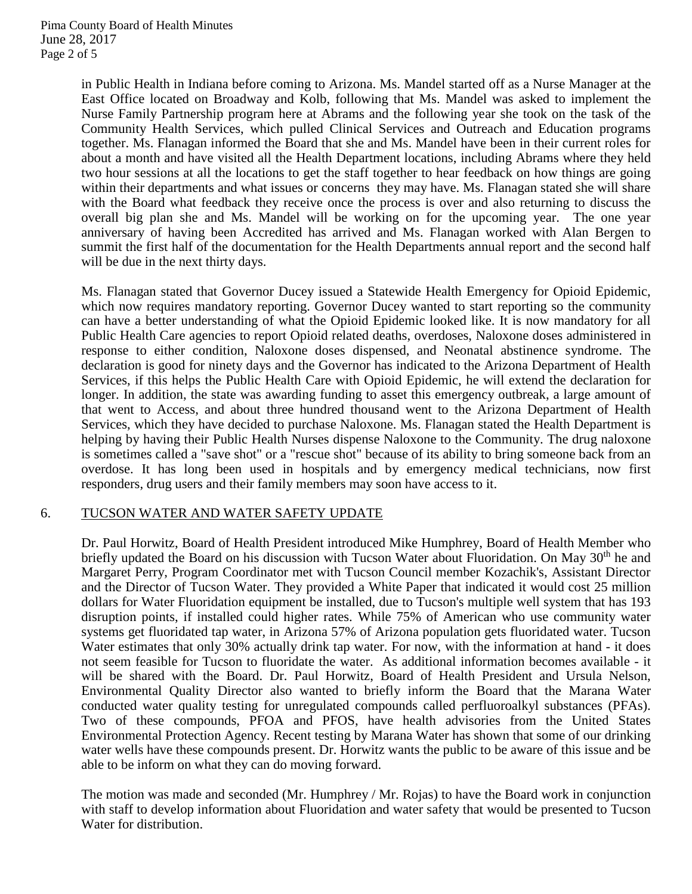in Public Health in Indiana before coming to Arizona. Ms. Mandel started off as a Nurse Manager at the East Office located on Broadway and Kolb, following that Ms. Mandel was asked to implement the Nurse Family Partnership program here at Abrams and the following year she took on the task of the Community Health Services, which pulled Clinical Services and Outreach and Education programs together. Ms. Flanagan informed the Board that she and Ms. Mandel have been in their current roles for about a month and have visited all the Health Department locations, including Abrams where they held two hour sessions at all the locations to get the staff together to hear feedback on how things are going within their departments and what issues or concerns they may have. Ms. Flanagan stated she will share with the Board what feedback they receive once the process is over and also returning to discuss the overall big plan she and Ms. Mandel will be working on for the upcoming year. The one year anniversary of having been Accredited has arrived and Ms. Flanagan worked with Alan Bergen to summit the first half of the documentation for the Health Departments annual report and the second half will be due in the next thirty days.

Ms. Flanagan stated that Governor Ducey issued a Statewide Health Emergency for Opioid Epidemic, which now requires mandatory reporting. Governor Ducey wanted to start reporting so the community can have a better understanding of what the Opioid Epidemic looked like. It is now mandatory for all Public Health Care agencies to report Opioid related deaths, overdoses, Naloxone doses administered in response to either condition, Naloxone doses dispensed, and Neonatal abstinence syndrome. The declaration is good for ninety days and the Governor has indicated to the Arizona Department of Health Services, if this helps the Public Health Care with Opioid Epidemic, he will extend the declaration for longer. In addition, the state was awarding funding to asset this emergency outbreak, a large amount of that went to Access, and about three hundred thousand went to the Arizona Department of Health Services, which they have decided to purchase Naloxone. Ms. Flanagan stated the Health Department is helping by having their Public Health Nurses dispense Naloxone to the Community. The drug naloxone is sometimes called a "save shot" or a "rescue shot" because of its ability to bring someone back from an overdose. It has long been used in hospitals and by emergency medical technicians, now first responders, drug users and their family members may soon have access to it.

## 6. TUCSON WATER AND WATER SAFETY UPDATE

Dr. Paul Horwitz, Board of Health President introduced Mike Humphrey, Board of Health Member who briefly updated the Board on his discussion with Tucson Water about Fluoridation. On May 30<sup>th</sup> he and Margaret Perry, Program Coordinator met with Tucson Council member Kozachik's, Assistant Director and the Director of Tucson Water. They provided a White Paper that indicated it would cost 25 million dollars for Water Fluoridation equipment be installed, due to Tucson's multiple well system that has 193 disruption points, if installed could higher rates. While 75% of American who use community water systems get fluoridated tap water, in Arizona 57% of Arizona population gets fluoridated water. Tucson Water estimates that only 30% actually drink tap water. For now, with the information at hand - it does not seem feasible for Tucson to fluoridate the water. As additional information becomes available - it will be shared with the Board. Dr. Paul Horwitz, Board of Health President and Ursula Nelson, Environmental Quality Director also wanted to briefly inform the Board that the Marana Water conducted water quality testing for unregulated compounds called perfluoroalkyl substances (PFAs). Two of these compounds, PFOA and PFOS, have health advisories from the United States Environmental Protection Agency. Recent testing by Marana Water has shown that some of our drinking water wells have these compounds present. Dr. Horwitz wants the public to be aware of this issue and be able to be inform on what they can do moving forward.

The motion was made and seconded (Mr. Humphrey / Mr. Rojas) to have the Board work in conjunction with staff to develop information about Fluoridation and water safety that would be presented to Tucson Water for distribution.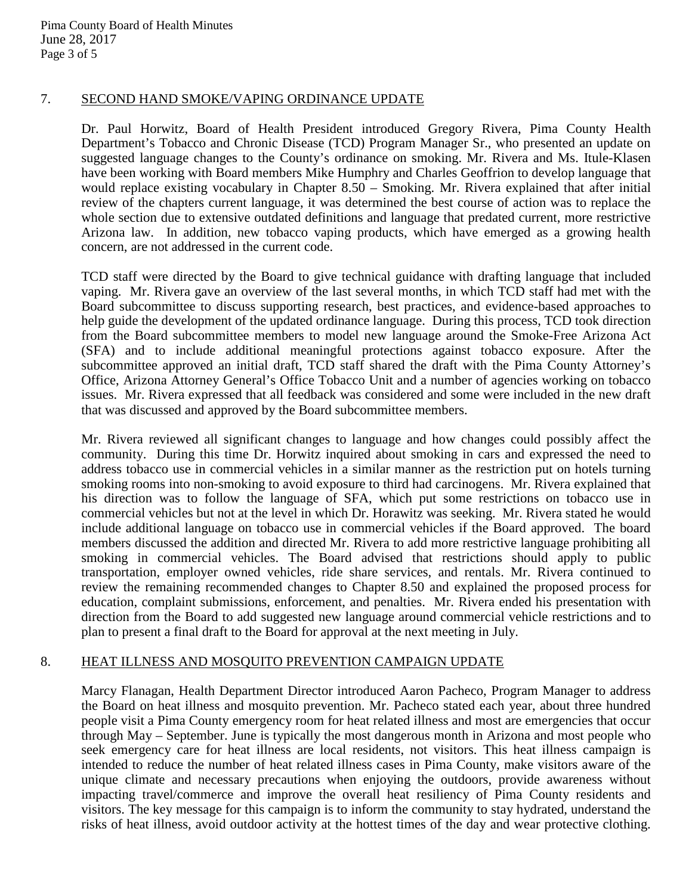## 7. SECOND HAND SMOKE/VAPING ORDINANCE UPDATE

Dr. Paul Horwitz, Board of Health President introduced Gregory Rivera, Pima County Health Department's Tobacco and Chronic Disease (TCD) Program Manager Sr., who presented an update on suggested language changes to the County's ordinance on smoking. Mr. Rivera and Ms. Itule-Klasen have been working with Board members Mike Humphry and Charles Geoffrion to develop language that would replace existing vocabulary in Chapter 8.50 – Smoking. Mr. Rivera explained that after initial review of the chapters current language, it was determined the best course of action was to replace the whole section due to extensive outdated definitions and language that predated current, more restrictive Arizona law. In addition, new tobacco vaping products, which have emerged as a growing health concern, are not addressed in the current code.

TCD staff were directed by the Board to give technical guidance with drafting language that included vaping. Mr. Rivera gave an overview of the last several months, in which TCD staff had met with the Board subcommittee to discuss supporting research, best practices, and evidence-based approaches to help guide the development of the updated ordinance language. During this process, TCD took direction from the Board subcommittee members to model new language around the Smoke-Free Arizona Act (SFA) and to include additional meaningful protections against tobacco exposure. After the subcommittee approved an initial draft, TCD staff shared the draft with the Pima County Attorney's Office, Arizona Attorney General's Office Tobacco Unit and a number of agencies working on tobacco issues. Mr. Rivera expressed that all feedback was considered and some were included in the new draft that was discussed and approved by the Board subcommittee members.

Mr. Rivera reviewed all significant changes to language and how changes could possibly affect the community. During this time Dr. Horwitz inquired about smoking in cars and expressed the need to address tobacco use in commercial vehicles in a similar manner as the restriction put on hotels turning smoking rooms into non-smoking to avoid exposure to third had carcinogens. Mr. Rivera explained that his direction was to follow the language of SFA, which put some restrictions on tobacco use in commercial vehicles but not at the level in which Dr. Horawitz was seeking. Mr. Rivera stated he would include additional language on tobacco use in commercial vehicles if the Board approved. The board members discussed the addition and directed Mr. Rivera to add more restrictive language prohibiting all smoking in commercial vehicles. The Board advised that restrictions should apply to public transportation, employer owned vehicles, ride share services, and rentals. Mr. Rivera continued to review the remaining recommended changes to Chapter 8.50 and explained the proposed process for education, complaint submissions, enforcement, and penalties. Mr. Rivera ended his presentation with direction from the Board to add suggested new language around commercial vehicle restrictions and to plan to present a final draft to the Board for approval at the next meeting in July.

## 8. HEAT ILLNESS AND MOSQUITO PREVENTION CAMPAIGN UPDATE

Marcy Flanagan, Health Department Director introduced Aaron Pacheco, Program Manager to address the Board on heat illness and mosquito prevention. Mr. Pacheco stated each year, about three hundred people visit a Pima County emergency room for heat related illness and most are emergencies that occur through May – September. June is typically the most dangerous month in Arizona and most people who seek emergency care for heat illness are local residents, not visitors. This heat illness campaign is intended to reduce the number of heat related illness cases in Pima County, make visitors aware of the unique climate and necessary precautions when enjoying the outdoors, provide awareness without impacting travel/commerce and improve the overall heat resiliency of Pima County residents and visitors. The key message for this campaign is to inform the community to stay hydrated, understand the risks of heat illness, avoid outdoor activity at the hottest times of the day and wear protective clothing.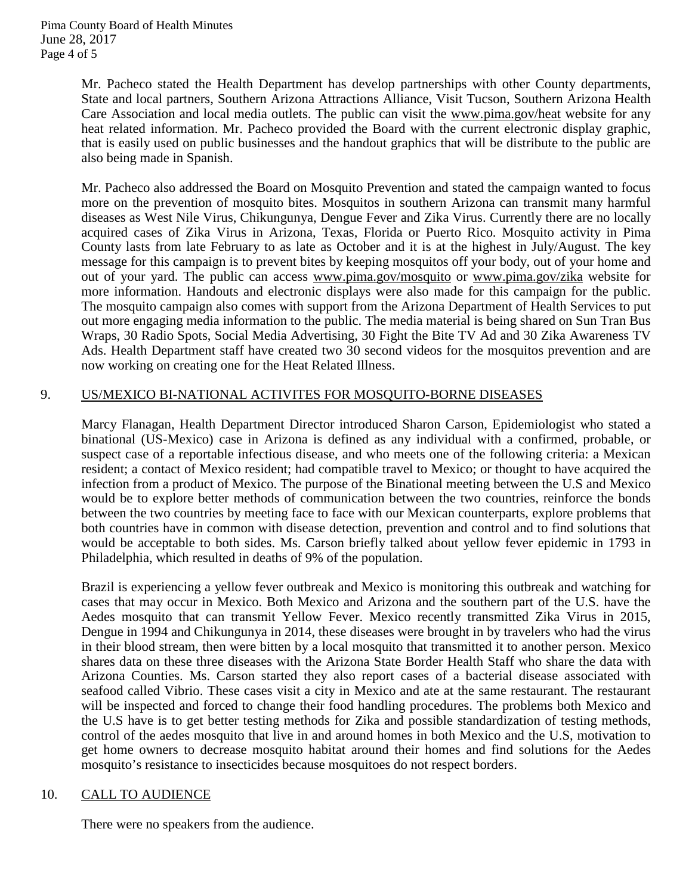Mr. Pacheco stated the Health Department has develop partnerships with other County departments, State and local partners, Southern Arizona Attractions Alliance, Visit Tucson, Southern Arizona Health Care Association and local media outlets. The public can visit the [www.pima.gov/heat](http://www.pima.gov/heat) website for any heat related information. Mr. Pacheco provided the Board with the current electronic display graphic, that is easily used on public businesses and the handout graphics that will be distribute to the public are also being made in Spanish.

Mr. Pacheco also addressed the Board on Mosquito Prevention and stated the campaign wanted to focus more on the prevention of mosquito bites. Mosquitos in southern Arizona can transmit many harmful diseases as West Nile Virus, Chikungunya, Dengue Fever and Zika Virus. Currently there are no locally acquired cases of Zika Virus in Arizona, Texas, Florida or Puerto Rico. Mosquito activity in Pima County lasts from late February to as late as October and it is at the highest in July/August. The key message for this campaign is to prevent bites by keeping mosquitos off your body, out of your home and out of your yard. The public can access [www.pima.gov/mosquito](http://www.pima.gov/mosquito) or [www.pima.gov/zika](http://www.pima.gov/zika) website for more information. Handouts and electronic displays were also made for this campaign for the public. The mosquito campaign also comes with support from the Arizona Department of Health Services to put out more engaging media information to the public. The media material is being shared on Sun Tran Bus Wraps, 30 Radio Spots, Social Media Advertising, 30 Fight the Bite TV Ad and 30 Zika Awareness TV Ads. Health Department staff have created two 30 second videos for the mosquitos prevention and are now working on creating one for the Heat Related Illness.

# 9. US/MEXICO BI-NATIONAL ACTIVITES FOR MOSQUITO-BORNE DISEASES

Marcy Flanagan, Health Department Director introduced Sharon Carson, Epidemiologist who stated a binational (US-Mexico) case in Arizona is defined as any individual with a confirmed, probable, or suspect case of a reportable infectious disease, and who meets one of the following criteria: a Mexican resident; a contact of Mexico resident; had compatible travel to Mexico; or thought to have acquired the infection from a product of Mexico. The purpose of the Binational meeting between the U.S and Mexico would be to explore better methods of communication between the two countries, reinforce the bonds between the two countries by meeting face to face with our Mexican counterparts, explore problems that both countries have in common with disease detection, prevention and control and to find solutions that would be acceptable to both sides. Ms. Carson briefly talked about yellow fever epidemic in 1793 in Philadelphia, which resulted in deaths of 9% of the population.

Brazil is experiencing a yellow fever outbreak and Mexico is monitoring this outbreak and watching for cases that may occur in Mexico. Both Mexico and Arizona and the southern part of the U.S. have the Aedes mosquito that can transmit Yellow Fever. Mexico recently transmitted Zika Virus in 2015, Dengue in 1994 and Chikungunya in 2014, these diseases were brought in by travelers who had the virus in their blood stream, then were bitten by a local mosquito that transmitted it to another person. Mexico shares data on these three diseases with the Arizona State Border Health Staff who share the data with Arizona Counties. Ms. Carson started they also report cases of a bacterial disease associated with seafood called Vibrio. These cases visit a city in Mexico and ate at the same restaurant. The restaurant will be inspected and forced to change their food handling procedures. The problems both Mexico and the U.S have is to get better testing methods for Zika and possible standardization of testing methods, control of the aedes mosquito that live in and around homes in both Mexico and the U.S, motivation to get home owners to decrease mosquito habitat around their homes and find solutions for the Aedes mosquito's resistance to insecticides because mosquitoes do not respect borders.

## 10. CALL TO AUDIENCE

There were no speakers from the audience.